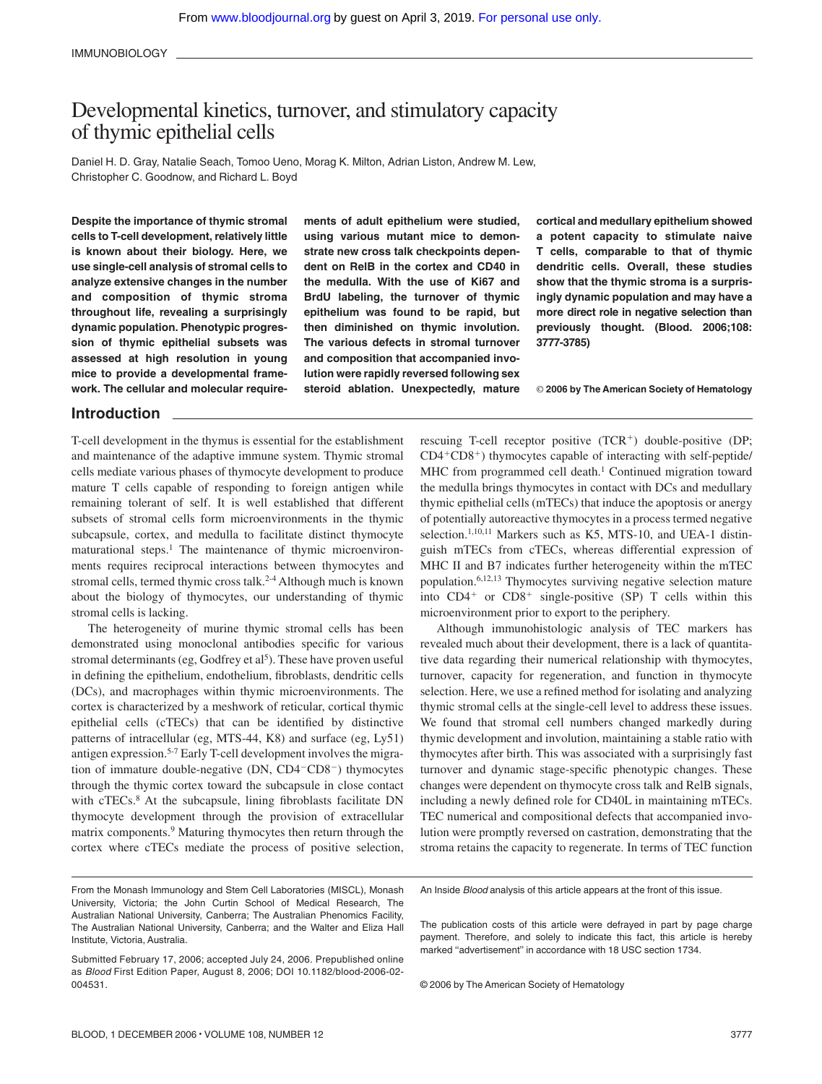# Developmental kinetics, turnover, and stimulatory capacity of thymic epithelial cells

Daniel H. D. Gray, Natalie Seach, Tomoo Ueno, Morag K. Milton, Adrian Liston, Andrew M. Lew, Christopher C. Goodnow, and Richard L. Boyd

**Despite the importance of thymic stromal cells to T-cell development, relatively little is known about their biology. Here, we use single-cell analysis of stromal cells to analyze extensive changes in the number and composition of thymic stroma throughout life, revealing a surprisingly dynamic population. Phenotypic progression of thymic epithelial subsets was assessed at high resolution in young mice to provide a developmental framework. The cellular and molecular require-** **ments of adult epithelium were studied, using various mutant mice to demonstrate new cross talk checkpoints dependent on RelB in the cortex and CD40 in the medulla. With the use of Ki67 and BrdU labeling, the turnover of thymic epithelium was found to be rapid, but then diminished on thymic involution. The various defects in stromal turnover and composition that accompanied involution were rapidly reversed following sex steroid ablation. Unexpectedly, mature** **cortical and medullary epithelium showed a potent capacity to stimulate naive T cells, comparable to that of thymic dendritic cells. Overall, these studies show that the thymic stroma is a surprisingly dynamic population and may have a more direct role in negative selection than previously thought. (Blood. 2006;108: 3777-3785)**

© **2006 by The American Society of Hematology**

# **Introduction**

T-cell development in the thymus is essential for the establishment and maintenance of the adaptive immune system. Thymic stromal cells mediate various phases of thymocyte development to produce mature T cells capable of responding to foreign antigen while remaining tolerant of self. It is well established that different subsets of stromal cells form microenvironments in the thymic subcapsule, cortex, and medulla to facilitate distinct thymocyte maturational steps.<sup>1</sup> The maintenance of thymic microenvironments requires reciprocal interactions between thymocytes and stromal cells, termed thymic cross talk.<sup>2-4</sup> Although much is known about the biology of thymocytes, our understanding of thymic stromal cells is lacking.

The heterogeneity of murine thymic stromal cells has been demonstrated using monoclonal antibodies specific for various stromal determinants (eg, Godfrey et  $al<sup>5</sup>$ ). These have proven useful in defining the epithelium, endothelium, fibroblasts, dendritic cells (DCs), and macrophages within thymic microenvironments. The cortex is characterized by a meshwork of reticular, cortical thymic epithelial cells (cTECs) that can be identified by distinctive patterns of intracellular (eg, MTS-44, K8) and surface (eg, Ly51) antigen expression.5-7 Early T-cell development involves the migration of immature double-negative  $(DN, CD4-CD8^-)$  thymocytes through the thymic cortex toward the subcapsule in close contact with cTECs.<sup>8</sup> At the subcapsule, lining fibroblasts facilitate DN thymocyte development through the provision of extracellular matrix components.9 Maturing thymocytes then return through the cortex where cTECs mediate the process of positive selection,

rescuing T-cell receptor positive (TCR+) double-positive (DP; CD4-CD8-) thymocytes capable of interacting with self-peptide/ MHC from programmed cell death.<sup>1</sup> Continued migration toward the medulla brings thymocytes in contact with DCs and medullary thymic epithelial cells (mTECs) that induce the apoptosis or anergy of potentially autoreactive thymocytes in a process termed negative selection.<sup>1,10,11</sup> Markers such as K5, MTS-10, and UEA-1 distinguish mTECs from cTECs, whereas differential expression of MHC II and B7 indicates further heterogeneity within the mTEC population.6,12,13 Thymocytes surviving negative selection mature into  $CD4^+$  or  $CD8^+$  single-positive (SP) T cells within this microenvironment prior to export to the periphery.

Although immunohistologic analysis of TEC markers has revealed much about their development, there is a lack of quantitative data regarding their numerical relationship with thymocytes, turnover, capacity for regeneration, and function in thymocyte selection. Here, we use a refined method for isolating and analyzing thymic stromal cells at the single-cell level to address these issues. We found that stromal cell numbers changed markedly during thymic development and involution, maintaining a stable ratio with thymocytes after birth. This was associated with a surprisingly fast turnover and dynamic stage-specific phenotypic changes. These changes were dependent on thymocyte cross talk and RelB signals, including a newly defined role for CD40L in maintaining mTECs. TEC numerical and compositional defects that accompanied involution were promptly reversed on castration, demonstrating that the stroma retains the capacity to regenerate. In terms of TEC function

An Inside *Blood* analysis of this article appears at the front of this issue.

The publication costs of this article were defrayed in part by page charge payment. Therefore, and solely to indicate this fact, this article is hereby marked "advertisement" in accordance with 18 USC section 1734.

© 2006 by The American Society of Hematology

From the Monash Immunology and Stem Cell Laboratories (MISCL), Monash University, Victoria; the John Curtin School of Medical Research, The Australian National University, Canberra; The Australian Phenomics Facility, The Australian National University, Canberra; and the Walter and Eliza Hall Institute, Victoria, Australia.

Submitted February 17, 2006; accepted July 24, 2006. Prepublished online as *Blood* First Edition Paper, August 8, 2006; DOI 10.1182/blood-2006-02- 004531.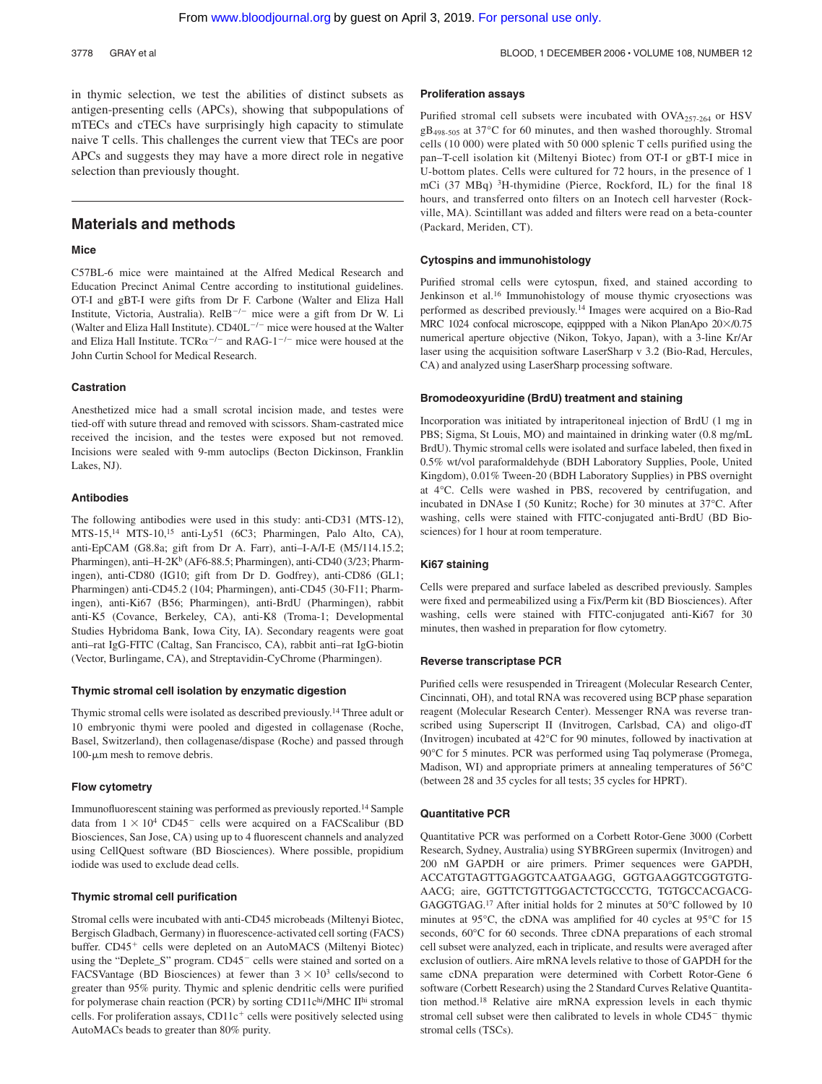3778 GRAY et al BLOOD, 1 DECEMBER 2006 · VOLUME 108, NUMBER 12

in thymic selection, we test the abilities of distinct subsets as antigen-presenting cells (APCs), showing that subpopulations of mTECs and cTECs have surprisingly high capacity to stimulate naive T cells. This challenges the current view that TECs are poor APCs and suggests they may have a more direct role in negative selection than previously thought.

# **Materials and methods**

# **Mice**

C57BL-6 mice were maintained at the Alfred Medical Research and Education Precinct Animal Centre according to institutional guidelines. OT-I and gBT-I were gifts from Dr F. Carbone (Walter and Eliza Hall Institute, Victoria, Australia). RelB<sup>-/-</sup> mice were a gift from Dr W. Li (Walter and Eliza Hall Institute).  $CD40L^{-/-}$  mice were housed at the Walter and Eliza Hall Institute. TCR $\alpha$ <sup>-/-</sup> and RAG-1<sup>-/-</sup> mice were housed at the John Curtin School for Medical Research.

#### **Castration**

Anesthetized mice had a small scrotal incision made, and testes were tied-off with suture thread and removed with scissors. Sham-castrated mice received the incision, and the testes were exposed but not removed. Incisions were sealed with 9-mm autoclips (Becton Dickinson, Franklin Lakes, NJ).

#### **Antibodies**

The following antibodies were used in this study: anti-CD31 (MTS-12), MTS-15,14 MTS-10,15 anti-Ly51 (6C3; Pharmingen, Palo Alto, CA), anti-EpCAM (G8.8a; gift from Dr A. Farr), anti–I-A/I-E (M5/114.15.2; Pharmingen), anti-H-2K<sup>b</sup> (AF6-88.5; Pharmingen), anti-CD40 (3/23; Pharmingen), anti-CD80 (IG10; gift from Dr D. Godfrey), anti-CD86 (GL1; Pharmingen) anti-CD45.2 (104; Pharmingen), anti-CD45 (30-F11; Pharmingen), anti-Ki67 (B56; Pharmingen), anti-BrdU (Pharmingen), rabbit anti-K5 (Covance, Berkeley, CA), anti-K8 (Troma-1; Developmental Studies Hybridoma Bank, Iowa City, IA). Secondary reagents were goat anti–rat IgG-FITC (Caltag, San Francisco, CA), rabbit anti–rat IgG-biotin (Vector, Burlingame, CA), and Streptavidin-CyChrome (Pharmingen).

#### **Thymic stromal cell isolation by enzymatic digestion**

Thymic stromal cells were isolated as described previously.14 Three adult or 10 embryonic thymi were pooled and digested in collagenase (Roche, Basel, Switzerland), then collagenase/dispase (Roche) and passed through  $100$ - $\mu$ m mesh to remove debris.

## **Flow cytometry**

Immunofluorescent staining was performed as previously reported.14 Sample data from  $1 \times 10^4$  CD45<sup>-</sup> cells were acquired on a FACScalibur (BD Biosciences, San Jose, CA) using up to 4 fluorescent channels and analyzed using CellQuest software (BD Biosciences). Where possible, propidium iodide was used to exclude dead cells.

### **Thymic stromal cell purification**

Stromal cells were incubated with anti-CD45 microbeads (Miltenyi Biotec, Bergisch Gladbach, Germany) in fluorescence-activated cell sorting (FACS) buffer. CD45<sup>+</sup> cells were depleted on an AutoMACS (Miltenyi Biotec) using the "Deplete\_S" program. CD45<sup>-</sup> cells were stained and sorted on a FACSVantage (BD Biosciences) at fewer than  $3 \times 10^3$  cells/second to greater than 95% purity. Thymic and splenic dendritic cells were purified for polymerase chain reaction (PCR) by sorting CD11chi/MHC IIhi stromal cells. For proliferation assays, CD11c<sup>+</sup> cells were positively selected using AutoMACs beads to greater than 80% purity.

#### **Proliferation assays**

Purified stromal cell subsets were incubated with OVA257-264 or HSV gB498-505 at 37°C for 60 minutes, and then washed thoroughly. Stromal cells (10 000) were plated with 50 000 splenic T cells purified using the pan–T-cell isolation kit (Miltenyi Biotec) from OT-I or gBT-I mice in U-bottom plates. Cells were cultured for 72 hours, in the presence of 1 mCi (37 MBq) 3H-thymidine (Pierce, Rockford, IL) for the final 18 hours, and transferred onto filters on an Inotech cell harvester (Rockville, MA). Scintillant was added and filters were read on a beta-counter (Packard, Meriden, CT).

### **Cytospins and immunohistology**

Purified stromal cells were cytospun, fixed, and stained according to Jenkinson et al.16 Immunohistology of mouse thymic cryosections was performed as described previously.14 Images were acquired on a Bio-Rad MRC 1024 confocal microscope, eqippped with a Nikon PlanApo  $20\times$ /0.75 numerical aperture objective (Nikon, Tokyo, Japan), with a 3-line Kr/Ar laser using the acquisition software LaserSharp v 3.2 (Bio-Rad, Hercules, CA) and analyzed using LaserSharp processing software.

#### **Bromodeoxyuridine (BrdU) treatment and staining**

Incorporation was initiated by intraperitoneal injection of BrdU (1 mg in PBS; Sigma, St Louis, MO) and maintained in drinking water (0.8 mg/mL BrdU). Thymic stromal cells were isolated and surface labeled, then fixed in 0.5% wt/vol paraformaldehyde (BDH Laboratory Supplies, Poole, United Kingdom), 0.01% Tween-20 (BDH Laboratory Supplies) in PBS overnight at 4°C. Cells were washed in PBS, recovered by centrifugation, and incubated in DNAse I (50 Kunitz; Roche) for 30 minutes at 37°C. After washing, cells were stained with FITC-conjugated anti-BrdU (BD Biosciences) for 1 hour at room temperature.

#### **Ki67 staining**

Cells were prepared and surface labeled as described previously. Samples were fixed and permeabilized using a Fix/Perm kit (BD Biosciences). After washing, cells were stained with FITC-conjugated anti-Ki67 for 30 minutes, then washed in preparation for flow cytometry.

#### **Reverse transcriptase PCR**

Purified cells were resuspended in Trireagent (Molecular Research Center, Cincinnati, OH), and total RNA was recovered using BCP phase separation reagent (Molecular Research Center). Messenger RNA was reverse transcribed using Superscript II (Invitrogen, Carlsbad, CA) and oligo-dT (Invitrogen) incubated at 42°C for 90 minutes, followed by inactivation at 90°C for 5 minutes. PCR was performed using Taq polymerase (Promega, Madison, WI) and appropriate primers at annealing temperatures of 56°C (between 28 and 35 cycles for all tests; 35 cycles for HPRT).

#### **Quantitative PCR**

Quantitative PCR was performed on a Corbett Rotor-Gene 3000 (Corbett Research, Sydney, Australia) using SYBRGreen supermix (Invitrogen) and 200 nM GAPDH or aire primers. Primer sequences were GAPDH, ACCATGTAGTTGAGGTCAATGAAGG, GGTGAAGGTCGGTGTG-AACG; aire, GGTTCTGTTGGACTCTGCCCTG, TGTGCCACGACG-GAGGTGAG.17 After initial holds for 2 minutes at 50°C followed by 10 minutes at 95°C, the cDNA was amplified for 40 cycles at 95°C for 15 seconds,  $60^{\circ}$ C for 60 seconds. Three cDNA preparations of each stromal cell subset were analyzed, each in triplicate, and results were averaged after exclusion of outliers. Aire mRNA levels relative to those of GAPDH for the same cDNA preparation were determined with Corbett Rotor-Gene 6 software (Corbett Research) using the 2 Standard Curves Relative Quantitation method.18 Relative aire mRNA expression levels in each thymic stromal cell subset were then calibrated to levels in whole CD45<sup>-</sup> thymic stromal cells (TSCs).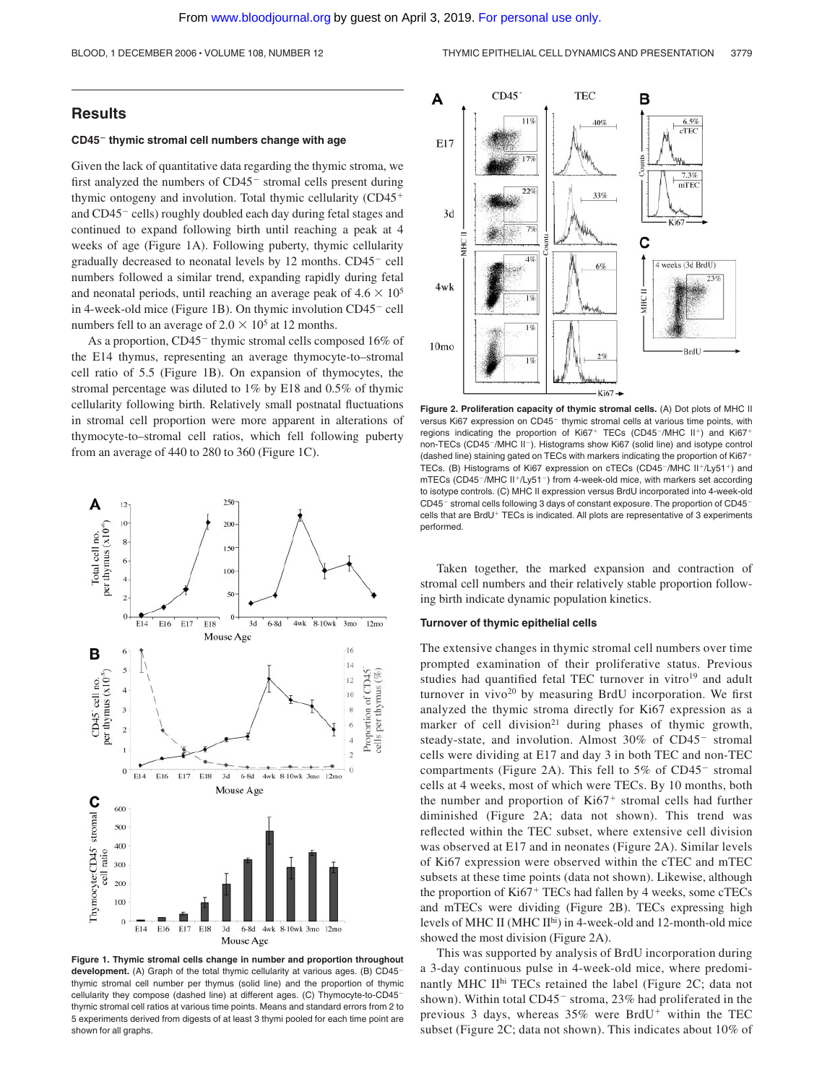# **Results**

#### **CD45 thymic stromal cell numbers change with age**

Given the lack of quantitative data regarding the thymic stroma, we first analyzed the numbers of CD45<sup>-</sup> stromal cells present during thymic ontogeny and involution. Total thymic cellularity (CD45 and CD45<sup>-</sup> cells) roughly doubled each day during fetal stages and continued to expand following birth until reaching a peak at 4 weeks of age (Figure 1A). Following puberty, thymic cellularity gradually decreased to neonatal levels by 12 months. CD45<sup>-</sup> cell numbers followed a similar trend, expanding rapidly during fetal and neonatal periods, until reaching an average peak of  $4.6 \times 10^5$ in 4-week-old mice (Figure 1B). On thymic involution  $CD45<sup>-</sup>$  cell numbers fell to an average of  $2.0 \times 10^5$  at 12 months.

As a proportion,  $CD45^-$  thymic stromal cells composed 16% of the E14 thymus, representing an average thymocyte-to–stromal cell ratio of 5.5 (Figure 1B). On expansion of thymocytes, the stromal percentage was diluted to 1% by E18 and 0.5% of thymic cellularity following birth. Relatively small postnatal fluctuations in stromal cell proportion were more apparent in alterations of thymocyte-to–stromal cell ratios, which fell following puberty from an average of 440 to 280 to 360 (Figure 1C).







**Figure 2. Proliferation capacity of thymic stromal cells.** (A) Dot plots of MHC II versus Ki67 expression on CD45<sup>-</sup> thymic stromal cells at various time points, with regions indicating the proportion of  $Ki67<sup>+</sup> TECs (CD45<sup>-</sup>/MHC II<sup>+</sup>)$  and  $Ki67<sup>+</sup>$ non-TECs (CD45<sup>-</sup>/MHC II<sup>-</sup>). Histograms show Ki67 (solid line) and isotype control (dashed line) staining gated on TECs with markers indicating the proportion of Ki67- TECs. (B) Histograms of Ki67 expression on cTECs (CD45<sup>-</sup>/MHC II<sup>+</sup>/Ly51<sup>+</sup>) and mTECs (CD45<sup>-</sup>/MHC II<sup>+</sup>/Ly51<sup>-</sup>) from 4-week-old mice, with markers set according to isotype controls. (C) MHC II expression versus BrdU incorporated into 4-week-old CD45<sup>-</sup> stromal cells following 3 days of constant exposure. The proportion of CD45<sup>-</sup> cells that are BrdU<sup>+</sup> TECs is indicated. All plots are representative of 3 experiments performed.

Taken together, the marked expansion and contraction of stromal cell numbers and their relatively stable proportion following birth indicate dynamic population kinetics.

#### **Turnover of thymic epithelial cells**

The extensive changes in thymic stromal cell numbers over time prompted examination of their proliferative status. Previous studies had quantified fetal TEC turnover in vitro<sup>19</sup> and adult turnover in vivo<sup>20</sup> by measuring BrdU incorporation. We first analyzed the thymic stroma directly for Ki67 expression as a marker of cell division<sup>21</sup> during phases of thymic growth, steady-state, and involution. Almost 30% of CD45<sup>-</sup> stromal cells were dividing at E17 and day 3 in both TEC and non-TEC compartments (Figure 2A). This fell to  $5\%$  of CD45<sup>-</sup> stromal cells at 4 weeks, most of which were TECs. By 10 months, both the number and proportion of Ki67<sup>+</sup> stromal cells had further diminished (Figure 2A; data not shown). This trend was reflected within the TEC subset, where extensive cell division was observed at E17 and in neonates (Figure 2A). Similar levels of Ki67 expression were observed within the cTEC and mTEC subsets at these time points (data not shown). Likewise, although the proportion of Ki67<sup>+</sup> TECs had fallen by 4 weeks, some cTECs and mTECs were dividing (Figure 2B). TECs expressing high levels of MHC II (MHC II<sup>hi</sup>) in 4-week-old and 12-month-old mice showed the most division (Figure 2A).

This was supported by analysis of BrdU incorporation during a 3-day continuous pulse in 4-week-old mice, where predominantly MHC IIhi TECs retained the label (Figure 2C; data not shown). Within total CD45<sup>-</sup> stroma, 23% had proliferated in the previous 3 days, whereas 35% were BrdU<sup>+</sup> within the TEC subset (Figure 2C; data not shown). This indicates about 10% of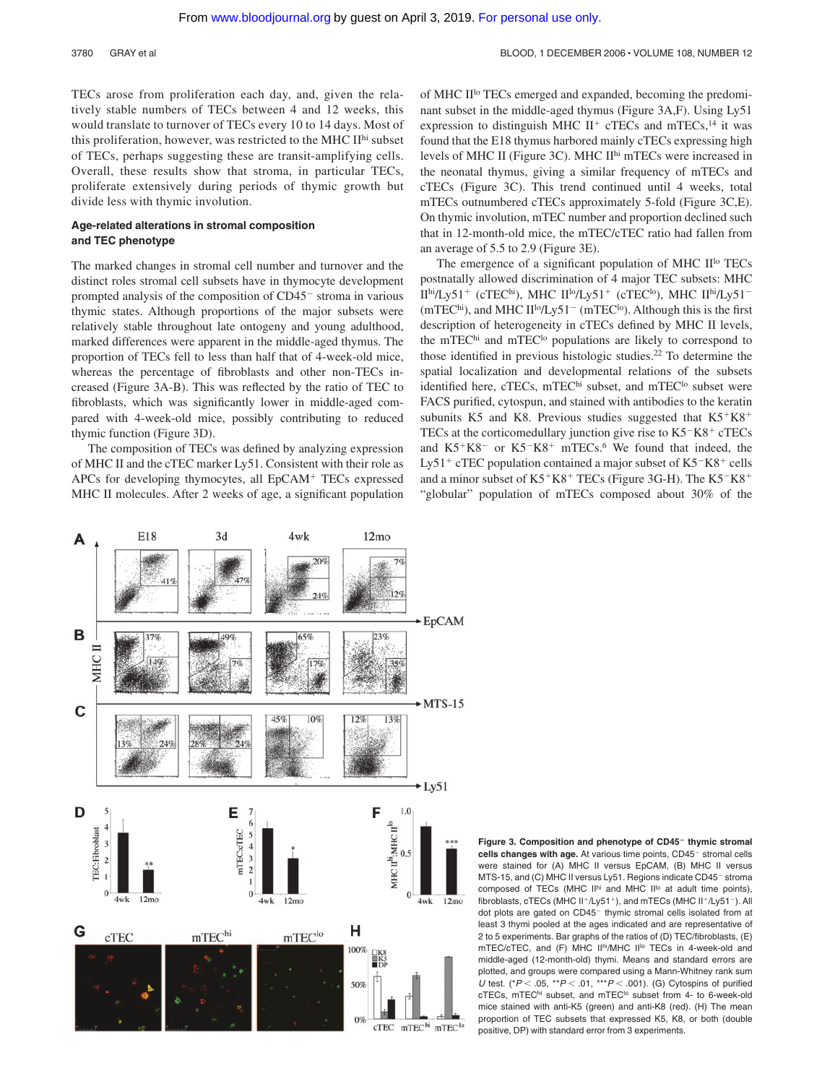TECs arose from proliferation each day, and, given the relatively stable numbers of TECs between 4 and 12 weeks, this would translate to turnover of TECs every 10 to 14 days. Most of this proliferation, however, was restricted to the MHC IIhi subset of TECs, perhaps suggesting these are transit-amplifying cells. Overall, these results show that stroma, in particular TECs, proliferate extensively during periods of thymic growth but divide less with thymic involution.

# **Age-related alterations in stromal composition and TEC phenotype**

The marked changes in stromal cell number and turnover and the distinct roles stromal cell subsets have in thymocyte development prompted analysis of the composition of  $CD45<sup>-</sup>$  stroma in various thymic states. Although proportions of the major subsets were relatively stable throughout late ontogeny and young adulthood, marked differences were apparent in the middle-aged thymus. The proportion of TECs fell to less than half that of 4-week-old mice, whereas the percentage of fibroblasts and other non-TECs increased (Figure 3A-B). This was reflected by the ratio of TEC to fibroblasts, which was significantly lower in middle-aged compared with 4-week-old mice, possibly contributing to reduced thymic function (Figure 3D).

The composition of TECs was defined by analyzing expression of MHC II and the cTEC marker Ly51. Consistent with their role as APCs for developing thymocytes, all EpCAM<sup>+</sup> TECs expressed MHC II molecules. After 2 weeks of age, a significant population of MHC IIlo TECs emerged and expanded, becoming the predominant subset in the middle-aged thymus (Figure 3A,F). Using Ly51 expression to distinguish MHC  $II^{+}$  cTECs and mTECs,<sup>14</sup> it was found that the E18 thymus harbored mainly cTECs expressing high levels of MHC II (Figure 3C). MHC IIhi mTECs were increased in the neonatal thymus, giving a similar frequency of mTECs and cTECs (Figure 3C). This trend continued until 4 weeks, total mTECs outnumbered cTECs approximately 5-fold (Figure 3C,E). On thymic involution, mTEC number and proportion declined such that in 12-month-old mice, the mTEC/cTEC ratio had fallen from an average of 5.5 to 2.9 (Figure 3E).

The emergence of a significant population of MHC II<sup>lo</sup> TECs postnatally allowed discrimination of 4 major TEC subsets: MHC II<sup>hi</sup>/Ly51<sup>+</sup> (cTEC<sup>hi</sup>), MHC II<sup>lo</sup>/Ly51<sup>+</sup> (cTEC<sup>lo</sup>), MHC II<sup>hi</sup>/Ly51<sup>-</sup>  $(mTEC<sup>hi</sup>)$ , and MHC  $II<sup>lo</sup>/Ly51<sup>-</sup>$  (mTEC<sup>lo</sup>). Although this is the first description of heterogeneity in cTECs defined by MHC II levels, the mTEChi and mTEC<sup>lo</sup> populations are likely to correspond to those identified in previous histologic studies.22 To determine the spatial localization and developmental relations of the subsets identified here, cTECs, mTEChi subset, and mTECho subset were FACS purified, cytospun, and stained with antibodies to the keratin subunits K5 and K8. Previous studies suggested that  $K5+K8$ <sup>+</sup> TECs at the corticomedullary junction give rise to K5<sup>-</sup>K8<sup>+</sup> cTECs and  $K5+K8^-$  or  $K5-K8^+$  mTECs.<sup>6</sup> We found that indeed, the Ly51<sup>+</sup> cTEC population contained a major subset of  $K5-K8^+$  cells and a minor subset of K5<sup>+</sup>K8<sup>+</sup> TECs (Figure 3G-H). The K5<sup>-</sup>K8<sup>+</sup> "globular" population of mTECs composed about 30% of the



**Figure 3. Composition and phenotype of CD45 thymic stromal cells changes with age.** At various time points, CD45<sup>-</sup> stromal cells were stained for (A) MHC II versus EpCAM, (B) MHC II versus MTS-15, and (C) MHC II versus Ly51. Regions indicate CD45<sup>-</sup> stroma composed of TECs (MHC II<sup>hi</sup> and MHC II<sup>Io</sup> at adult time points), fibroblasts, cTECs (MHC II<sup>+</sup>/Ly51<sup>+</sup>), and mTECs (MHC II<sup>+</sup>/Ly51<sup>-</sup>). All dot plots are gated on CD45<sup>-</sup> thymic stromal cells isolated from at least 3 thymi pooled at the ages indicated and are representative of 2 to 5 experiments. Bar graphs of the ratios of (D) TEC/fibroblasts, (E) mTEC/cTEC, and (F) MHC IIhi/MHC II<sup>Io</sup> TECs in 4-week-old and middle-aged (12-month-old) thymi. Means and standard errors are plotted, and groups were compared using a Mann-Whitney rank sum *U* test. (\* $P < .05$ , \*\* $P < .01$ , \*\*\* $P < .001$ ). (G) Cytospins of purified cTECs, mTEChi subset, and mTEC<sup>to</sup> subset from 4- to 6-week-old mice stained with anti-K5 (green) and anti-K8 (red). (H) The mean proportion of TEC subsets that expressed K5, K8, or both (double positive, DP) with standard error from 3 experiments.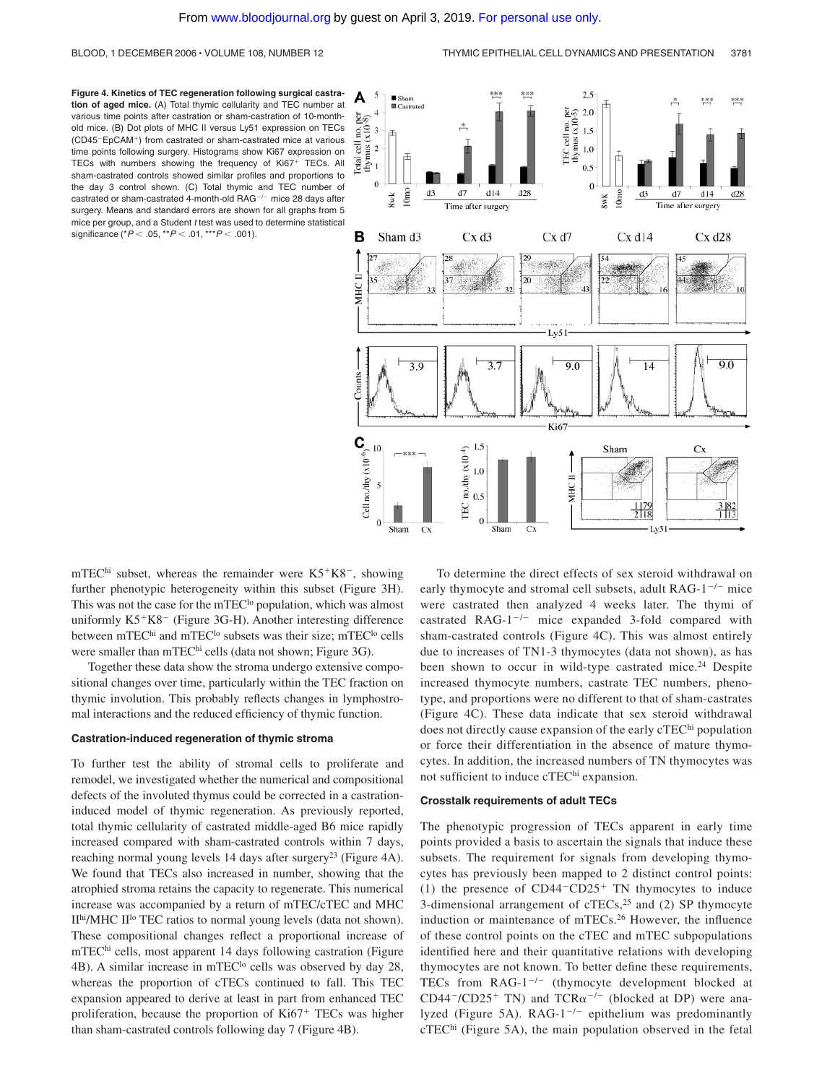**Figure 4. Kinetics of TEC regeneration following surgical castration of aged mice.** (A) Total thymic cellularity and TEC number at various time points after castration or sham-castration of 10-monthold mice. (B) Dot plots of MHC II versus Ly51 expression on TECs (CD45<sup>-</sup>EpCAM<sup>+</sup>) from castrated or sham-castrated mice at various time points following surgery. Histograms show Ki67 expression on TECs with numbers showing the frequency of Ki67<sup>+</sup> TECs. All sham-castrated controls showed similar profiles and proportions to the day 3 control shown. (C) Total thymic and TEC number of castrated or sham-castrated 4-month-old RAG $^{-/-}$  mice 28 days after surgery. Means and standard errors are shown for all graphs from 5 mice per group, and a Student *t* test was used to determine statistical significance (\* $P < .05$ , \*\* $P < .01$ , \*\*\* $P < .001$ ).



mTEC<sup>hi</sup> subset, whereas the remainder were  $K5+K8^-$ , showing further phenotypic heterogeneity within this subset (Figure 3H). This was not the case for the mTEC<sup>lo</sup> population, which was almost uniformly K5<sup>+</sup>K8<sup>-</sup> (Figure 3G-H). Another interesting difference between mTEC<sup>hi</sup> and mTEC<sup>lo</sup> subsets was their size; mTEC<sup>lo</sup> cells were smaller than mTEChi cells (data not shown; Figure 3G).

Together these data show the stroma undergo extensive compositional changes over time, particularly within the TEC fraction on thymic involution. This probably reflects changes in lymphostromal interactions and the reduced efficiency of thymic function.

#### **Castration-induced regeneration of thymic stroma**

To further test the ability of stromal cells to proliferate and remodel, we investigated whether the numerical and compositional defects of the involuted thymus could be corrected in a castrationinduced model of thymic regeneration. As previously reported, total thymic cellularity of castrated middle-aged B6 mice rapidly increased compared with sham-castrated controls within 7 days, reaching normal young levels 14 days after surgery<sup>23</sup> (Figure 4A). We found that TECs also increased in number, showing that the atrophied stroma retains the capacity to regenerate. This numerical increase was accompanied by a return of mTEC/cTEC and MHC IIhi/MHC IIlo TEC ratios to normal young levels (data not shown). These compositional changes reflect a proportional increase of mTEChi cells, most apparent 14 days following castration (Figure 4B). A similar increase in mTEC<sup>lo</sup> cells was observed by day 28, whereas the proportion of cTECs continued to fall. This TEC expansion appeared to derive at least in part from enhanced TEC proliferation, because the proportion of Ki67<sup>+</sup> TECs was higher than sham-castrated controls following day 7 (Figure 4B).

To determine the direct effects of sex steroid withdrawal on early thymocyte and stromal cell subsets, adult  $RAG-1^{-/-}$  mice were castrated then analyzed 4 weeks later. The thymi of castrated RAG- $1^{-/-}$  mice expanded 3-fold compared with sham-castrated controls (Figure 4C). This was almost entirely due to increases of TN1-3 thymocytes (data not shown), as has been shown to occur in wild-type castrated mice.<sup>24</sup> Despite increased thymocyte numbers, castrate TEC numbers, phenotype, and proportions were no different to that of sham-castrates (Figure 4C). These data indicate that sex steroid withdrawal does not directly cause expansion of the early cTEChi population or force their differentiation in the absence of mature thymocytes. In addition, the increased numbers of TN thymocytes was not sufficient to induce cTEChi expansion.

#### **Crosstalk requirements of adult TECs**

The phenotypic progression of TECs apparent in early time points provided a basis to ascertain the signals that induce these subsets. The requirement for signals from developing thymocytes has previously been mapped to 2 distinct control points: (1) the presence of  $CD44-CD25+TN$  thymocytes to induce 3-dimensional arrangement of  $cTECs$ ,<sup>25</sup> and (2) SP thymocyte induction or maintenance of mTECs.26 However, the influence of these control points on the cTEC and mTEC subpopulations identified here and their quantitative relations with developing thymocytes are not known. To better define these requirements, TECs from  $RAG-1^{-/-}$  (thymocyte development blocked at  $CD44^-/CD25^+$  TN) and TCR $\alpha^{-/-}$  (blocked at DP) were analyzed (Figure 5A). RAG-1<sup>-/-</sup> epithelium was predominantly cTEChi (Figure 5A), the main population observed in the fetal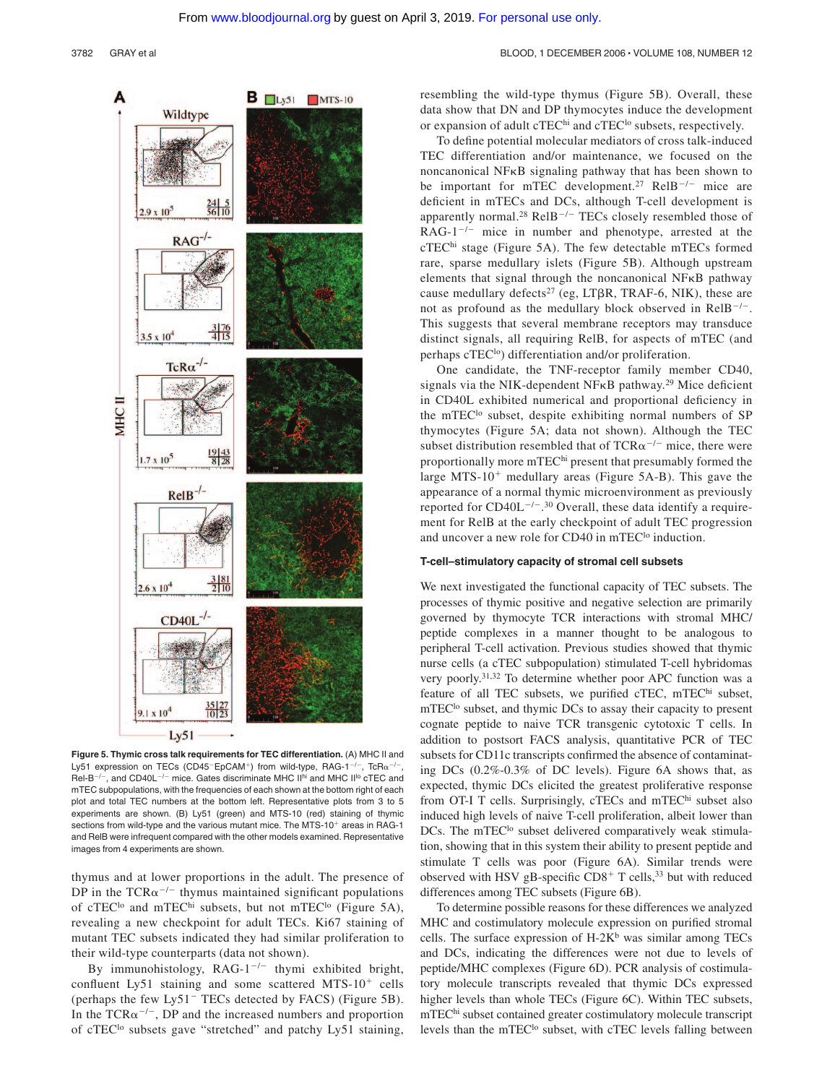#### 3782 GRAY et al BLOOD, 1 DECEMBER 2006 · VOLUME 108, NUMBER 12



**Figure 5. Thymic cross talk requirements for TEC differentiation.** (A) MHC II and Ly51 expression on TECs (CD45<sup>-</sup>EpCAM<sup>+</sup>) from wild-type, RAG-1<sup>-/-</sup>, TcR $\alpha^{-/-}$ , Rel-B<sup>-/-</sup>, and CD40L<sup>-/-</sup> mice. Gates discriminate MHC II<sup>hi</sup> and MHC II<sup>I</sup><sup>o</sup> cTEC and mTEC subpopulations, with the frequencies of each shown at the bottom right of each plot and total TEC numbers at the bottom left. Representative plots from 3 to 5 experiments are shown. (B) Ly51 (green) and MTS-10 (red) staining of thymic sections from wild-type and the various mutant mice. The MTS-10<sup>+</sup> areas in RAG-1 and RelB were infrequent compared with the other models examined. Representative images from 4 experiments are shown.

thymus and at lower proportions in the adult. The presence of DP in the  $TCR\alpha^{-/-}$  thymus maintained significant populations of cTEC<sup>lo</sup> and mTEC<sup>hi</sup> subsets, but not mTEC<sup>lo</sup> (Figure 5A), revealing a new checkpoint for adult TECs. Ki67 staining of mutant TEC subsets indicated they had similar proliferation to their wild-type counterparts (data not shown).

By immunohistology, RAG-1<sup>-/-</sup> thymi exhibited bright, confluent Ly51 staining and some scattered MTS- $10^{+}$  cells (perhaps the few Ly51<sup> $-$ </sup> TECs detected by FACS) (Figure 5B). In the TCR $\alpha^{-/-}$ , DP and the increased numbers and proportion of cTEC<sup>lo</sup> subsets gave "stretched" and patchy Ly51 staining, resembling the wild-type thymus (Figure 5B). Overall, these data show that DN and DP thymocytes induce the development or expansion of adult cTEC<sup>hi</sup> and cTEC<sup>lo</sup> subsets, respectively.

To define potential molecular mediators of cross talk-induced TEC differentiation and/or maintenance, we focused on the noncanonical NFKB signaling pathway that has been shown to be important for mTEC development.<sup>27</sup> RelB<sup>-/-</sup> mice are deficient in mTECs and DCs, although T-cell development is apparently normal.<sup>28</sup> RelB<sup>-/-</sup> TECs closely resembled those of  $RAG-1^{-/-}$  mice in number and phenotype, arrested at the cTEChi stage (Figure 5A). The few detectable mTECs formed rare, sparse medullary islets (Figure 5B). Although upstream elements that signal through the noncanonical  $N$ F $\kappa$ B pathway cause medullary defects<sup>27</sup> (eg, LT $\beta$ R, TRAF-6, NIK), these are not as profound as the medullary block observed in  $\text{Re}l\text{B}^{-/-}$ . This suggests that several membrane receptors may transduce distinct signals, all requiring RelB, for aspects of mTEC (and perhaps cTEC<sup>lo</sup>) differentiation and/or proliferation.

One candidate, the TNF-receptor family member CD40, signals via the NIK-dependent NF $\kappa$ B pathway.<sup>29</sup> Mice deficient in CD40L exhibited numerical and proportional deficiency in the mTEC<sup>lo</sup> subset, despite exhibiting normal numbers of SP thymocytes (Figure 5A; data not shown). Although the TEC subset distribution resembled that of  $TCR\alpha^{-/-}$  mice, there were proportionally more mTEC<sup>hi</sup> present that presumably formed the large MTS-10<sup>+</sup> medullary areas (Figure 5A-B). This gave the appearance of a normal thymic microenvironment as previously reported for  $CD40L^{-/-}$ .<sup>30</sup> Overall, these data identify a requirement for RelB at the early checkpoint of adult TEC progression and uncover a new role for CD40 in mTEC<sup>lo</sup> induction.

### **T-cell–stimulatory capacity of stromal cell subsets**

We next investigated the functional capacity of TEC subsets. The processes of thymic positive and negative selection are primarily governed by thymocyte TCR interactions with stromal MHC/ peptide complexes in a manner thought to be analogous to peripheral T-cell activation. Previous studies showed that thymic nurse cells (a cTEC subpopulation) stimulated T-cell hybridomas very poorly.31,32 To determine whether poor APC function was a feature of all TEC subsets, we purified cTEC, mTEChi subset, mTEC<sup>lo</sup> subset, and thymic DCs to assay their capacity to present cognate peptide to naive TCR transgenic cytotoxic T cells. In addition to postsort FACS analysis, quantitative PCR of TEC subsets for CD11c transcripts confirmed the absence of contaminating DCs (0.2%-0.3% of DC levels). Figure 6A shows that, as expected, thymic DCs elicited the greatest proliferative response from OT-I T cells. Surprisingly, cTECs and mTEChi subset also induced high levels of naive T-cell proliferation, albeit lower than DCs. The mTEC<sup>lo</sup> subset delivered comparatively weak stimulation, showing that in this system their ability to present peptide and stimulate T cells was poor (Figure 6A). Similar trends were observed with HSV gB-specific  $CD8<sup>+</sup>$  T cells,<sup>33</sup> but with reduced differences among TEC subsets (Figure 6B).

To determine possible reasons for these differences we analyzed MHC and costimulatory molecule expression on purified stromal cells. The surface expression of  $H-2K^b$  was similar among TECs and DCs, indicating the differences were not due to levels of peptide/MHC complexes (Figure 6D). PCR analysis of costimulatory molecule transcripts revealed that thymic DCs expressed higher levels than whole TECs (Figure 6C). Within TEC subsets, mTEC<sup>hi</sup> subset contained greater costimulatory molecule transcript levels than the mTEC<sup>lo</sup> subset, with cTEC levels falling between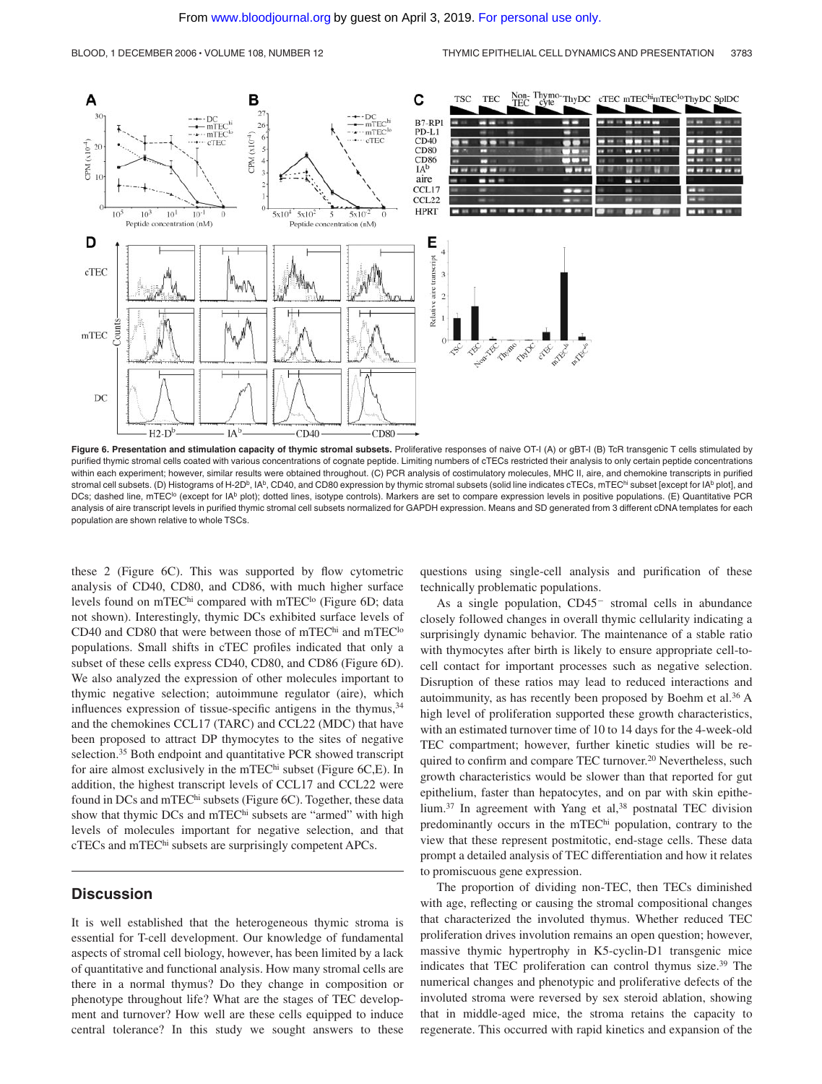

**Figure 6. Presentation and stimulation capacity of thymic stromal subsets.** Proliferative responses of naive OT-I (A) or gBT-I (B) TcR transgenic T cells stimulated by purified thymic stromal cells coated with various concentrations of cognate peptide. Limiting numbers of cTECs restricted their analysis to only certain peptide concentrations within each experiment; however, similar results were obtained throughout. (C) PCR analysis of costimulatory molecules, MHC II, aire, and chemokine transcripts in purified stromal cell subsets. (D) Histograms of H-2D<sup>b</sup>, IAb, CD40, and CD80 expression by thymic stromal subsets (solid line indicates cTECs, mTEChi subset [except for IAb plot], and DCs; dashed line, mTEC<sup>to</sup> (except for IA<sup>b</sup> plot); dotted lines, isotype controls). Markers are set to compare expression levels in positive populations. (E) Quantitative PCR analysis of aire transcript levels in purified thymic stromal cell subsets normalized for GAPDH expression. Means and SD generated from 3 different cDNA templates for each population are shown relative to whole TSCs.

these 2 (Figure 6C). This was supported by flow cytometric analysis of CD40, CD80, and CD86, with much higher surface levels found on mTEChi compared with mTEC<sup>lo</sup> (Figure 6D; data not shown). Interestingly, thymic DCs exhibited surface levels of CD40 and CD80 that were between those of mTEC<sup>hi</sup> and mTEC<sup>lo</sup> populations. Small shifts in cTEC profiles indicated that only a subset of these cells express CD40, CD80, and CD86 (Figure 6D). We also analyzed the expression of other molecules important to thymic negative selection; autoimmune regulator (aire), which influences expression of tissue-specific antigens in the thymus,  $34$ and the chemokines CCL17 (TARC) and CCL22 (MDC) that have been proposed to attract DP thymocytes to the sites of negative selection.<sup>35</sup> Both endpoint and quantitative PCR showed transcript for aire almost exclusively in the mTEChi subset (Figure 6C,E). In addition, the highest transcript levels of CCL17 and CCL22 were found in DCs and mTEC<sup>hi</sup> subsets (Figure 6C). Together, these data show that thymic DCs and mTEChi subsets are "armed" with high levels of molecules important for negative selection, and that cTECs and mTEChi subsets are surprisingly competent APCs.

# **Discussion**

It is well established that the heterogeneous thymic stroma is essential for T-cell development. Our knowledge of fundamental aspects of stromal cell biology, however, has been limited by a lack of quantitative and functional analysis. How many stromal cells are there in a normal thymus? Do they change in composition or phenotype throughout life? What are the stages of TEC development and turnover? How well are these cells equipped to induce central tolerance? In this study we sought answers to these questions using single-cell analysis and purification of these technically problematic populations.

As a single population,  $CD45<sup>-</sup>$  stromal cells in abundance closely followed changes in overall thymic cellularity indicating a surprisingly dynamic behavior. The maintenance of a stable ratio with thymocytes after birth is likely to ensure appropriate cell-tocell contact for important processes such as negative selection. Disruption of these ratios may lead to reduced interactions and autoimmunity, as has recently been proposed by Boehm et al.36 A high level of proliferation supported these growth characteristics, with an estimated turnover time of 10 to 14 days for the 4-week-old TEC compartment; however, further kinetic studies will be required to confirm and compare TEC turnover.<sup>20</sup> Nevertheless, such growth characteristics would be slower than that reported for gut epithelium, faster than hepatocytes, and on par with skin epithelium.<sup>37</sup> In agreement with Yang et al,<sup>38</sup> postnatal TEC division predominantly occurs in the mTEC<sup>hi</sup> population, contrary to the view that these represent postmitotic, end-stage cells. These data prompt a detailed analysis of TEC differentiation and how it relates to promiscuous gene expression.

The proportion of dividing non-TEC, then TECs diminished with age, reflecting or causing the stromal compositional changes that characterized the involuted thymus. Whether reduced TEC proliferation drives involution remains an open question; however, massive thymic hypertrophy in K5-cyclin-D1 transgenic mice indicates that TEC proliferation can control thymus size.39 The numerical changes and phenotypic and proliferative defects of the involuted stroma were reversed by sex steroid ablation, showing that in middle-aged mice, the stroma retains the capacity to regenerate. This occurred with rapid kinetics and expansion of the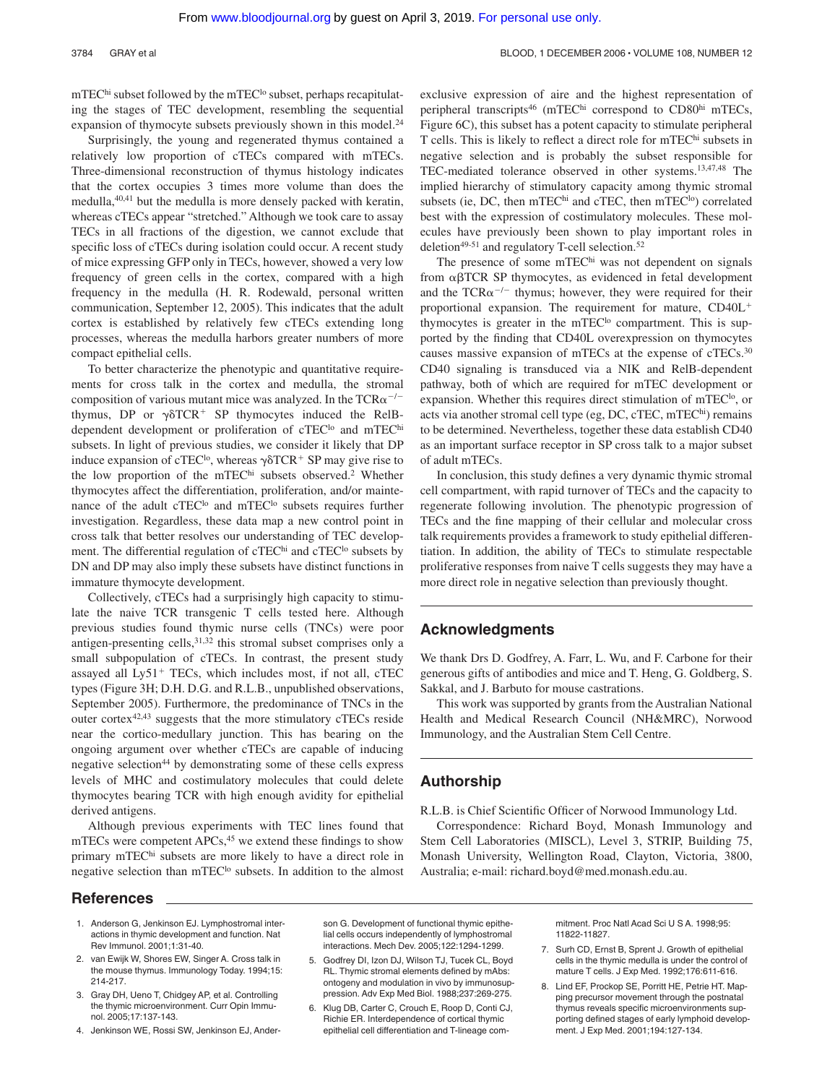mTEChi subset followed by the mTEC<sup>lo</sup> subset, perhaps recapitulating the stages of TEC development, resembling the sequential expansion of thymocyte subsets previously shown in this model.<sup>24</sup>

Surprisingly, the young and regenerated thymus contained a relatively low proportion of cTECs compared with mTECs. Three-dimensional reconstruction of thymus histology indicates that the cortex occupies 3 times more volume than does the medulla,40,41 but the medulla is more densely packed with keratin, whereas cTECs appear "stretched." Although we took care to assay TECs in all fractions of the digestion, we cannot exclude that specific loss of cTECs during isolation could occur. A recent study of mice expressing GFP only in TECs, however, showed a very low frequency of green cells in the cortex, compared with a high frequency in the medulla (H. R. Rodewald, personal written communication, September 12, 2005). This indicates that the adult cortex is established by relatively few cTECs extending long processes, whereas the medulla harbors greater numbers of more compact epithelial cells.

To better characterize the phenotypic and quantitative requirements for cross talk in the cortex and medulla, the stromal composition of various mutant mice was analyzed. In the  $TCR\alpha^{-/-}$ thymus, DP or  $\gamma\delta TCR^+$  SP thymocytes induced the RelBdependent development or proliferation of cTEC<sup>lo</sup> and mTEC<sup>hi</sup> subsets. In light of previous studies, we consider it likely that DP induce expansion of cTEC<sup>lo</sup>, whereas  $\gamma$  $\delta$ TCR<sup>+</sup> SP may give rise to the low proportion of the mTEC<sup>hi</sup> subsets observed.<sup>2</sup> Whether thymocytes affect the differentiation, proliferation, and/or maintenance of the adult cTEC<sup>lo</sup> and mTEC<sup>lo</sup> subsets requires further investigation. Regardless, these data map a new control point in cross talk that better resolves our understanding of TEC development. The differential regulation of cTEC<sup>hi</sup> and cTEC<sup>lo</sup> subsets by DN and DP may also imply these subsets have distinct functions in immature thymocyte development.

Collectively, cTECs had a surprisingly high capacity to stimulate the naive TCR transgenic T cells tested here. Although previous studies found thymic nurse cells (TNCs) were poor antigen-presenting cells,  $31,32$  this stromal subset comprises only a small subpopulation of cTECs. In contrast, the present study assayed all Ly51<sup>+</sup> TECs, which includes most, if not all, cTEC types (Figure 3H; D.H. D.G. and R.L.B., unpublished observations, September 2005). Furthermore, the predominance of TNCs in the outer cortex42,43 suggests that the more stimulatory cTECs reside near the cortico-medullary junction. This has bearing on the ongoing argument over whether cTECs are capable of inducing negative selection<sup>44</sup> by demonstrating some of these cells express levels of MHC and costimulatory molecules that could delete thymocytes bearing TCR with high enough avidity for epithelial derived antigens.

Although previous experiments with TEC lines found that mTECs were competent APCs,<sup>45</sup> we extend these findings to show primary mTEChi subsets are more likely to have a direct role in negative selection than mTEC<sup>lo</sup> subsets. In addition to the almost exclusive expression of aire and the highest representation of peripheral transcripts<sup>46</sup> (mTEChi correspond to CD80hi mTECs, Figure 6C), this subset has a potent capacity to stimulate peripheral T cells. This is likely to reflect a direct role for mTEChi subsets in negative selection and is probably the subset responsible for TEC-mediated tolerance observed in other systems.13,47,48 The implied hierarchy of stimulatory capacity among thymic stromal subsets (ie, DC, then mTEChi and cTEC, then mTEC<sup>lo</sup>) correlated best with the expression of costimulatory molecules. These molecules have previously been shown to play important roles in deletion<sup>49-51</sup> and regulatory T-cell selection.<sup>52</sup>

The presence of some mTEChi was not dependent on signals from  $\alpha\beta$ TCR SP thymocytes, as evidenced in fetal development and the  $TCR\alpha^{-1}$  thymus; however, they were required for their proportional expansion. The requirement for mature, CD40L<sup>+</sup> thymocytes is greater in the mTEC<sup>lo</sup> compartment. This is supported by the finding that CD40L overexpression on thymocytes causes massive expansion of mTECs at the expense of cTECs.30 CD40 signaling is transduced via a NIK and RelB-dependent pathway, both of which are required for mTEC development or expansion. Whether this requires direct stimulation of mTEC<sup>lo</sup>, or acts via another stromal cell type (eg, DC, cTEC, mTEChi) remains to be determined. Nevertheless, together these data establish CD40 as an important surface receptor in SP cross talk to a major subset of adult mTECs.

In conclusion, this study defines a very dynamic thymic stromal cell compartment, with rapid turnover of TECs and the capacity to regenerate following involution. The phenotypic progression of TECs and the fine mapping of their cellular and molecular cross talk requirements provides a framework to study epithelial differentiation. In addition, the ability of TECs to stimulate respectable proliferative responses from naive T cells suggests they may have a more direct role in negative selection than previously thought.

# **Acknowledgments**

We thank Drs D. Godfrey, A. Farr, L. Wu, and F. Carbone for their generous gifts of antibodies and mice and T. Heng, G. Goldberg, S. Sakkal, and J. Barbuto for mouse castrations.

This work was supported by grants from the Australian National Health and Medical Research Council (NH&MRC), Norwood Immunology, and the Australian Stem Cell Centre.

# **Authorship**

R.L.B. is Chief Scientific Officer of Norwood Immunology Ltd.

Correspondence: Richard Boyd, Monash Immunology and Stem Cell Laboratories (MISCL), Level 3, STRIP, Building 75, Monash University, Wellington Road, Clayton, Victoria, 3800, Australia; e-mail: richard.boyd@med.monash.edu.au.

# **References**

- 1. Anderson G, Jenkinson EJ. Lymphostromal interactions in thymic development and function. Nat Rev Immunol. 2001;1:31-40.
- 2. van Ewijk W, Shores EW, Singer A. Cross talk in the mouse thymus. Immunology Today. 1994;15: 214-217.
- 3. Gray DH, Ueno T, Chidgey AP, et al. Controlling the thymic microenvironment. Curr Opin Immunol. 2005;17:137-143.
- 4. Jenkinson WE, Rossi SW, Jenkinson EJ, Ander-

son G. Development of functional thymic epithelial cells occurs independently of lymphostromal interactions. Mech Dev. 2005;122:1294-1299.

- 5. Godfrey DI, Izon DJ, Wilson TJ, Tucek CL, Boyd RL. Thymic stromal elements defined by mAbs: ontogeny and modulation in vivo by immunosuppression. Adv Exp Med Biol. 1988;237:269-275.
- 6. Klug DB, Carter C, Crouch E, Roop D, Conti CJ, Richie ER. Interdependence of cortical thymic epithelial cell differentiation and T-lineage com-

mitment. Proc Natl Acad Sci U S A. 1998;95: 11822-11827.

- 7. Surh CD, Ernst B, Sprent J. Growth of epithelial cells in the thymic medulla is under the control of mature T cells. J Exp Med. 1992;176:611-616.
- 8. Lind EF, Prockop SE, Porritt HE, Petrie HT. Mapping precursor movement through the postnatal thymus reveals specific microenvironments supporting defined stages of early lymphoid development. J Exp Med. 2001;194:127-134.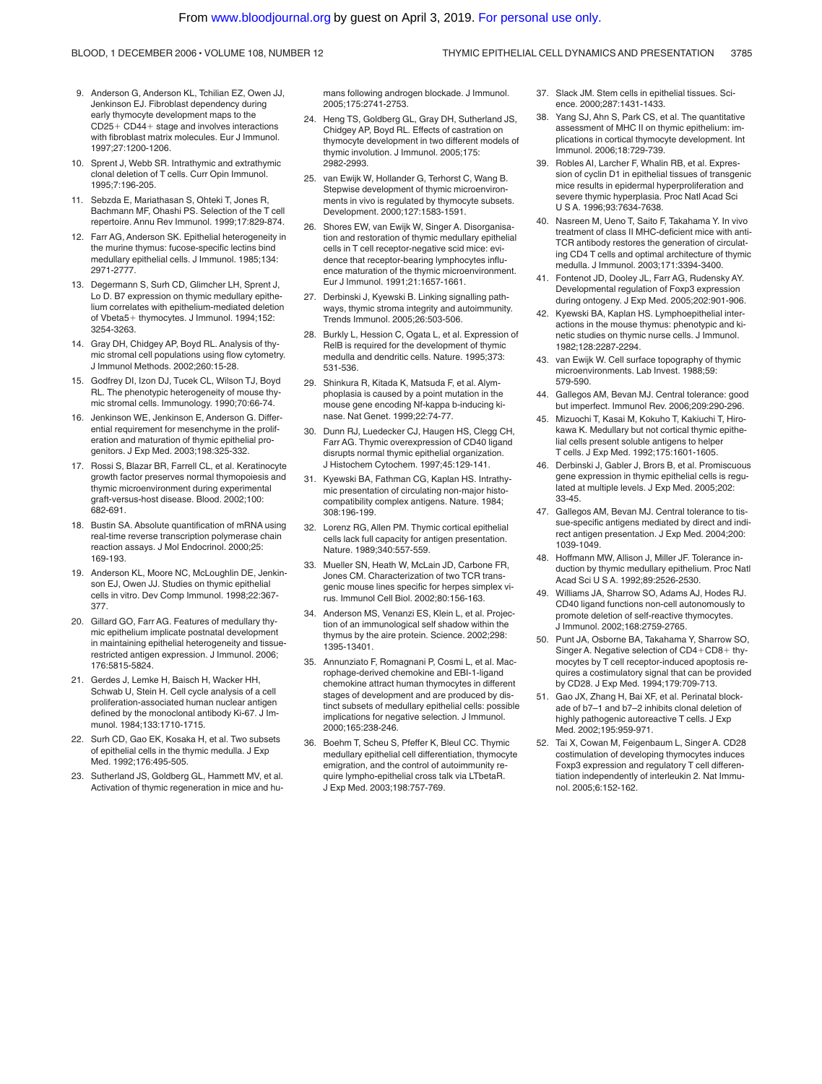#### 9. Anderson G, Anderson KL, Tchilian EZ, Owen JJ, Jenkinson EJ. Fibroblast dependency during early thymocyte development maps to the CD25- CD44- stage and involves interactions with fibroblast matrix molecules. Eur J Immunol. 1997;27:1200-1206.

- 10. Sprent J, Webb SR. Intrathymic and extrathymic clonal deletion of T cells. Curr Opin Immunol. 1995;7:196-205.
- 11. Sebzda E, Mariathasan S, Ohteki T, Jones R, Bachmann MF, Ohashi PS. Selection of the T cell repertoire. Annu Rev Immunol. 1999;17:829-874.
- 12. Farr AG, Anderson SK. Epithelial heterogeneity in the murine thymus: fucose-specific lectins bind medullary epithelial cells. J Immunol. 1985;134: 2971-2777.
- 13. Degermann S, Surh CD, Glimcher LH, Sprent J, Lo D. B7 expression on thymic medullary epithelium correlates with epithelium-mediated deletion of Vbeta5+ thymocytes. J Immunol. 1994;152: 3254-3263.
- 14. Gray DH, Chidgey AP, Boyd RL. Analysis of thymic stromal cell populations using flow cytometry. J Immunol Methods. 2002;260:15-28.
- 15. Godfrey DI, Izon DJ, Tucek CL, Wilson TJ, Boyd RL. The phenotypic heterogeneity of mouse thymic stromal cells. Immunology. 1990;70:66-74.
- Jenkinson WE, Jenkinson E, Anderson G. Differential requirement for mesenchyme in the proliferation and maturation of thymic epithelial progenitors. J Exp Med. 2003;198:325-332.
- 17. Rossi S, Blazar BR, Farrell CL, et al. Keratinocyte growth factor preserves normal thymopoiesis and thymic microenvironment during experimental graft-versus-host disease. Blood. 2002;100: 682-691.
- 18. Bustin SA. Absolute quantification of mRNA using real-time reverse transcription polymerase chain reaction assays. J Mol Endocrinol. 2000;25: 169-193.
- 19. Anderson KL, Moore NC, McLoughlin DE, Jenkinson EJ, Owen JJ. Studies on thymic epithelial cells in vitro. Dev Comp Immunol. 1998;22:367- 377.
- 20. Gillard GO, Farr AG. Features of medullary thymic epithelium implicate postnatal development in maintaining epithelial heterogeneity and tissuerestricted antigen expression. J Immunol. 2006; 176:5815-5824.
- 21. Gerdes J, Lemke H, Baisch H, Wacker HH, Schwab U, Stein H. Cell cycle analysis of a cell proliferation-associated human nuclear antigen defined by the monoclonal antibody Ki-67. J Immunol. 1984;133:1710-1715.
- 22. Surh CD, Gao EK, Kosaka H, et al. Two subsets of epithelial cells in the thymic medulla. J Exp Med. 1992;176:495-505.
- 23. Sutherland JS, Goldberg GL, Hammett MV, et al. Activation of thymic regeneration in mice and hu-

mans following androgen blockade. J Immunol. 2005;175:2741-2753.

- 24. Heng TS, Goldberg GL, Gray DH, Sutherland JS, Chidgey AP, Boyd RL. Effects of castration on thymocyte development in two different models of thymic involution. J Immunol. 2005;175: 2982-2993.
- 25. van Ewijk W, Hollander G, Terhorst C, Wang B. Stepwise development of thymic microenvironments in vivo is regulated by thymocyte subsets. Development. 2000;127:1583-1591.
- 26. Shores EW, van Ewijk W, Singer A. Disorganisation and restoration of thymic medullary epithelial cells in T cell receptor-negative scid mice: evidence that receptor-bearing lymphocytes influence maturation of the thymic microenvironment. Eur J Immunol. 1991;21:1657-1661.
- 27. Derbinski J, Kyewski B. Linking signalling pathways, thymic stroma integrity and autoimmunity. Trends Immunol. 2005;26:503-506.
- 28. Burkly L, Hession C, Ogata L, et al. Expression of RelB is required for the development of thymic medulla and dendritic cells. Nature. 1995;373: 531-536.
- 29. Shinkura R, Kitada K, Matsuda F, et al. Alymphoplasia is caused by a point mutation in the mouse gene encoding Nf-kappa b-inducing kinase. Nat Genet. 1999;22:74-77.
- 30. Dunn RJ, Luedecker CJ, Haugen HS, Clegg CH, Farr AG. Thymic overexpression of CD40 ligand disrupts normal thymic epithelial organization. J Histochem Cytochem. 1997;45:129-141.
- 31. Kyewski BA, Fathman CG, Kaplan HS. Intrathymic presentation of circulating non-major histocompatibility complex antigens. Nature. 1984; 308:196-199.
- 32. Lorenz RG, Allen PM. Thymic cortical epithelial cells lack full capacity for antigen presentation. Nature. 1989;340:557-559.
- 33. Mueller SN, Heath W, McLain JD, Carbone FR, Jones CM. Characterization of two TCR transgenic mouse lines specific for herpes simplex virus. Immunol Cell Biol. 2002;80:156-163.
- 34. Anderson MS, Venanzi ES, Klein L, et al. Projection of an immunological self shadow within the thymus by the aire protein. Science. 2002;298: 1395-13401.
- 35. Annunziato F, Romagnani P, Cosmi L, et al. Macrophage-derived chemokine and EBI-1-ligand chemokine attract human thymocytes in different stages of development and are produced by distinct subsets of medullary epithelial cells: possible implications for negative selection. J Immunol. 2000;165:238-246.
- 36. Boehm T, Scheu S, Pfeffer K, Bleul CC. Thymic medullary epithelial cell differentiation, thymocyte emigration, and the control of autoimmunity require lympho-epithelial cross talk via LTbetaR. J Exp Med. 2003;198:757-769.
- 37. Slack JM. Stem cells in epithelial tissues. Science. 2000;287:1431-1433.
- 38. Yang SJ, Ahn S, Park CS, et al. The quantitative assessment of MHC II on thymic epithelium: implications in cortical thymocyte development. Int Immunol. 2006;18:729-739.
- 39. Robles AI, Larcher F, Whalin RB, et al. Expression of cyclin D1 in epithelial tissues of transgenic mice results in epidermal hyperproliferation and severe thymic hyperplasia. Proc Natl Acad Sci U S A. 1996;93:7634-7638.
- 40. Nasreen M, Ueno T, Saito F, Takahama Y. In vivo treatment of class II MHC-deficient mice with anti-TCR antibody restores the generation of circulating CD4 T cells and optimal architecture of thymic medulla. J Immunol. 2003;171:3394-3400.
- 41. Fontenot JD, Dooley JL, Farr AG, Rudensky AY. Developmental regulation of Foxp3 expression during ontogeny. J Exp Med. 2005;202:901-906.
- 42. Kyewski BA, Kaplan HS. Lymphoepithelial interactions in the mouse thymus: phenotypic and kinetic studies on thymic nurse cells. J Immunol. 1982;128:2287-2294.
- 43. van Ewijk W. Cell surface topography of thymic microenvironments. Lab Invest. 1988;59: 579-590.
- 44. Gallegos AM, Bevan MJ. Central tolerance: good but imperfect. Immunol Rev. 2006;209:290-296.
- 45. Mizuochi T, Kasai M, Kokuho T, Kakiuchi T, Hirokawa K. Medullary but not cortical thymic epithelial cells present soluble antigens to helper T cells. J Exp Med. 1992;175:1601-1605.
- 46. Derbinski J, Gabler J, Brors B, et al. Promiscuous gene expression in thymic epithelial cells is regulated at multiple levels. J Exp Med. 2005;202: 33-45.
- 47. Gallegos AM, Bevan MJ. Central tolerance to tissue-specific antigens mediated by direct and indirect antigen presentation. J Exp Med. 2004;200: 1039-1049.
- 48. Hoffmann MW, Allison J, Miller JF. Tolerance induction by thymic medullary epithelium. Proc Natl Acad Sci U S A. 1992;89:2526-2530.
- 49. Williams JA, Sharrow SO, Adams AJ, Hodes RJ. CD40 ligand functions non-cell autonomously to promote deletion of self-reactive thymocytes. J Immunol. 2002;168:2759-2765.
- 50. Punt JA, Osborne BA, Takahama Y, Sharrow SO, Singer A. Negative selection of CD4+CD8+ thymocytes by T cell receptor-induced apoptosis requires a costimulatory signal that can be provided by CD28. J Exp Med. 1994;179:709-713.
- 51. Gao JX, Zhang H, Bai XF, et al. Perinatal blockade of b7–1 and b7–2 inhibits clonal deletion of highly pathogenic autoreactive T cells. J Exp Med. 2002;195:959-971.
- 52. Tai X, Cowan M, Feigenbaum L, Singer A. CD28 costimulation of developing thymocytes induces Foxp3 expression and regulatory T cell differentiation independently of interleukin 2. Nat Immunol. 2005;6:152-162.

#### BLOOD, 1 DECEMBER 2006 VOLUME 108, NUMBER 12 THYMIC EPITHELIAL CELL DYNAMICS AND PRESENTATION 3785